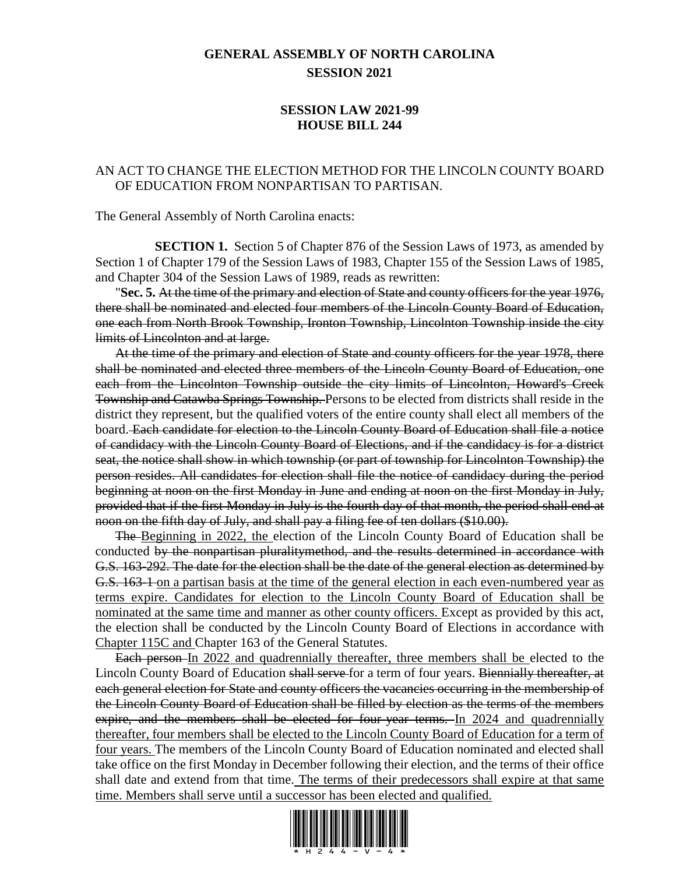## **GENERAL ASSEMBLY OF NORTH CAROLINA SESSION 2021**

## **SESSION LAW 2021-99 HOUSE BILL 244**

## AN ACT TO CHANGE THE ELECTION METHOD FOR THE LINCOLN COUNTY BOARD OF EDUCATION FROM NONPARTISAN TO PARTISAN.

The General Assembly of North Carolina enacts:

**SECTION 1.** Section 5 of Chapter 876 of the Session Laws of 1973, as amended by Section 1 of Chapter 179 of the Session Laws of 1983, Chapter 155 of the Session Laws of 1985, and Chapter 304 of the Session Laws of 1989, reads as rewritten:

"**Sec. 5.** At the time of the primary and election of State and county officers for the year 1976, there shall be nominated and elected four members of the Lincoln County Board of Education, one each from North Brook Township, Ironton Township, Lincolnton Township inside the city limits of Lincolnton and at large.

At the time of the primary and election of State and county officers for the year 1978, there shall be nominated and elected three members of the Lincoln County Board of Education, one each from the Lincolnton Township outside the city limits of Lincolnton, Howard's Creek Township and Catawba Springs Township. Persons to be elected from districts shall reside in the district they represent, but the qualified voters of the entire county shall elect all members of the board. Each candidate for election to the Lincoln County Board of Education shall file a notice of candidacy with the Lincoln County Board of Elections, and if the candidacy is for a district seat, the notice shall show in which township (or part of township for Lincolnton Township) the person resides. All candidates for election shall file the notice of candidacy during the period beginning at noon on the first Monday in June and ending at noon on the first Monday in July, provided that if the first Monday in July is the fourth day of that month, the period shall end at noon on the fifth day of July, and shall pay a filing fee of ten dollars (\$10.00).

The Beginning in 2022, the election of the Lincoln County Board of Education shall be conducted by the nonpartisan pluralitymethod, and the results determined in accordance with G.S. 163-292. The date for the election shall be the date of the general election as determined by G.S. 163-1 on a partisan basis at the time of the general election in each even-numbered year as terms expire. Candidates for election to the Lincoln County Board of Education shall be nominated at the same time and manner as other county officers. Except as provided by this act, the election shall be conducted by the Lincoln County Board of Elections in accordance with Chapter 115C and Chapter 163 of the General Statutes.

Each person-In 2022 and quadrennially thereafter, three members shall be elected to the Lincoln County Board of Education shall serve for a term of four years. Biennially thereafter, at each general election for State and county officers the vacancies occurring in the membership of the Lincoln County Board of Education shall be filled by election as the terms of the members expire, and the members shall be elected for four-year terms. In 2024 and quadrennially thereafter, four members shall be elected to the Lincoln County Board of Education for a term of four years. The members of the Lincoln County Board of Education nominated and elected shall take office on the first Monday in December following their election, and the terms of their office shall date and extend from that time. The terms of their predecessors shall expire at that same time. Members shall serve until a successor has been elected and qualified.